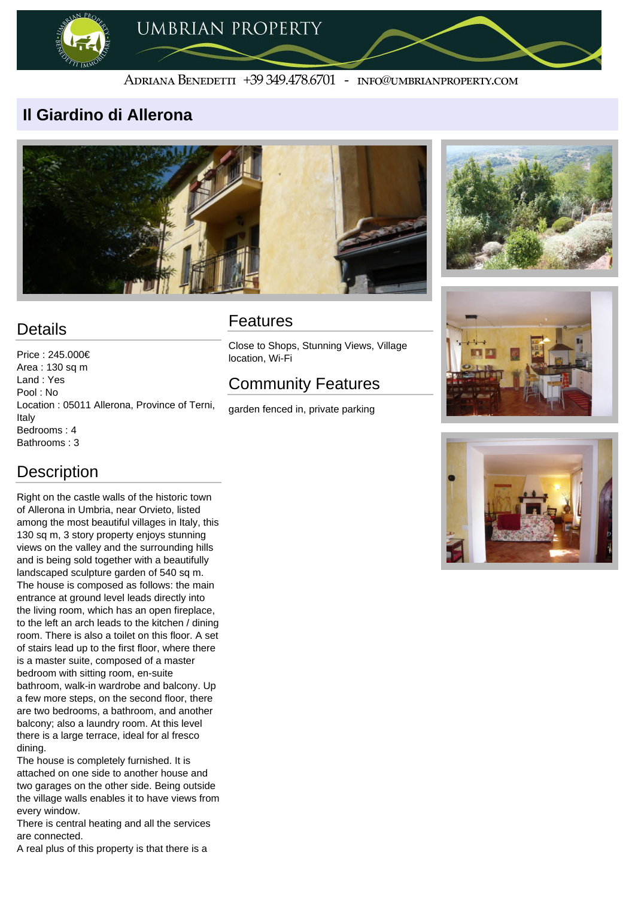

#### ADRIANA BENEDETTI +39 349.478.6701 - INFO@UMBRIANPROPERTY.COM

### **Il Giardino di Allerona**





# **Details**

Price : 245.000€ Area : 130 sq m Land : Yes Pool : No Location : 05011 Allerona, Province of Terni, Italy Bedrooms : 4 Bathrooms : 3

## **Description**

Right on the castle walls of the historic town of Allerona in Umbria, near Orvieto, listed among the most beautiful villages in Italy, this 130 sq m, 3 story property enjoys stunning views on the valley and the surrounding hills and is being sold together with a beautifully landscaped sculpture garden of 540 sq m. The house is composed as follows: the main entrance at ground level leads directly into the living room, which has an open fireplace, to the left an arch leads to the kitchen / dining room. There is also a toilet on this floor. A set of stairs lead up to the first floor, where there is a master suite, composed of a master bedroom with sitting room, en-suite bathroom, walk-in wardrobe and balcony. Up a few more steps, on the second floor, there are two bedrooms, a bathroom, and another balcony; also a laundry room. At this level there is a large terrace, ideal for al fresco dining. The house is completely furnished. It is attached on one side to another house and two garages on the other side. Being outside the village walls enables it to have views from every window.

There is central heating and all the services are connected.

A real plus of this property is that there is a

### Features

Close to Shops, Stunning Views, Village location, Wi-Fi

# Community Features

garden fenced in, private parking